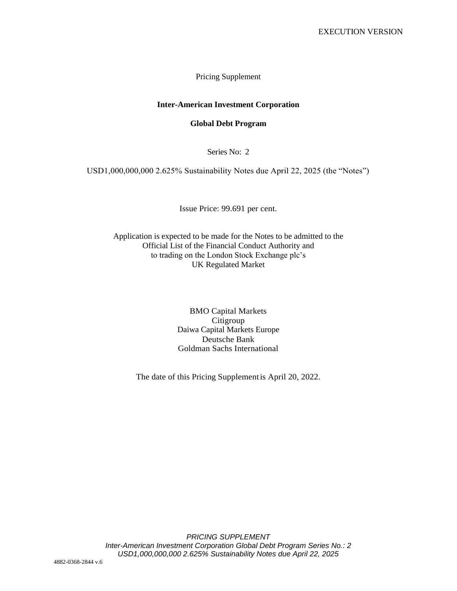Pricing Supplement

#### **Inter-American Investment Corporation**

#### **Global Debt Program**

Series No: 2

USD1,000,000,000 2.625% Sustainability Notes due April 22, 2025 (the "Notes")

Issue Price: 99.691 per cent.

Application is expected to be made for the Notes to be admitted to the Official List of the Financial Conduct Authority and to trading on the London Stock Exchange plc's UK Regulated Market

> BMO Capital Markets Citigroup Daiwa Capital Markets Europe Deutsche Bank Goldman Sachs International

The date of this Pricing Supplementis April 20, 2022.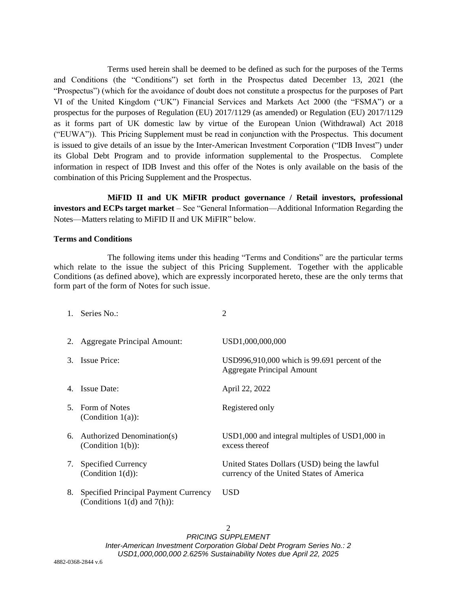Terms used herein shall be deemed to be defined as such for the purposes of the Terms and Conditions (the "Conditions") set forth in the Prospectus dated December 13, 2021 (the "Prospectus") (which for the avoidance of doubt does not constitute a prospectus for the purposes of Part VI of the United Kingdom ("UK") Financial Services and Markets Act 2000 (the "FSMA") or a prospectus for the purposes of Regulation (EU) 2017/1129 (as amended) or Regulation (EU) 2017/1129 as it forms part of UK domestic law by virtue of the European Union (Withdrawal) Act 2018 ("EUWA")). This Pricing Supplement must be read in conjunction with the Prospectus. This document is issued to give details of an issue by the Inter-American Investment Corporation ("IDB Invest") under its Global Debt Program and to provide information supplemental to the Prospectus. Complete information in respect of IDB Invest and this offer of the Notes is only available on the basis of the combination of this Pricing Supplement and the Prospectus.

**MiFID II and UK MiFIR product governance / Retail investors, professional investors and ECPs target market** – See "General Information—Additional Information Regarding the Notes—Matters relating to MiFID II and UK MiFIR" below.

#### **Terms and Conditions**

The following items under this heading "Terms and Conditions" are the particular terms which relate to the issue the subject of this Pricing Supplement. Together with the applicable Conditions (as defined above), which are expressly incorporated hereto, these are the only terms that form part of the form of Notes for such issue.

|    | 1. Series No.:                                                           | 2                                                                                        |
|----|--------------------------------------------------------------------------|------------------------------------------------------------------------------------------|
|    | 2. Aggregate Principal Amount:                                           | USD1,000,000,000                                                                         |
| 3. | <b>Issue Price:</b>                                                      | USD996,910,000 which is 99.691 percent of the<br><b>Aggregate Principal Amount</b>       |
|    | 4. Issue Date:                                                           | April 22, 2022                                                                           |
|    | 5. Form of Notes<br>(Condition $1(a)$ ):                                 | Registered only                                                                          |
|    | 6. Authorized Denomination(s)<br>(Condition $1(b)$ ):                    | $USD1,000$ and integral multiples of $USD1,000$ in<br>excess thereof                     |
|    | 7. Specified Currency<br>(Condition $1(d)$ ):                            | United States Dollars (USD) being the lawful<br>currency of the United States of America |
| 8. | Specified Principal Payment Currency<br>(Conditions $1(d)$ and $7(h)$ ): | USD                                                                                      |

 $\mathfrak{D}$ *PRICING SUPPLEMENT Inter-American Investment Corporation Global Debt Program Series No.: 2 USD1,000,000,000 2.625% Sustainability Notes due April 22, 2025*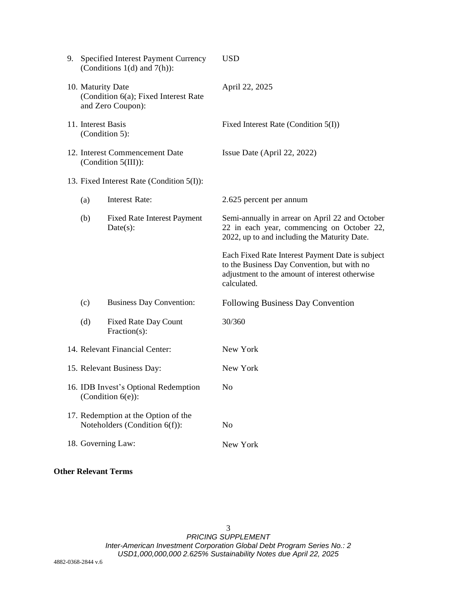| 9. |                                                                                | Specified Interest Payment Currency<br>(Conditions $1(d)$ and $7(h)$ ): | <b>USD</b>                                                                                                                                                       |
|----|--------------------------------------------------------------------------------|-------------------------------------------------------------------------|------------------------------------------------------------------------------------------------------------------------------------------------------------------|
|    | 10. Maturity Date<br>(Condition 6(a); Fixed Interest Rate<br>and Zero Coupon): |                                                                         | April 22, 2025                                                                                                                                                   |
|    | 11. Interest Basis<br>(Condition 5):                                           |                                                                         | Fixed Interest Rate (Condition 5(I))                                                                                                                             |
|    | 12. Interest Commencement Date<br>(Condition $5(III)$ ):                       |                                                                         | Issue Date (April 22, 2022)                                                                                                                                      |
|    | 13. Fixed Interest Rate (Condition 5(I)):                                      |                                                                         |                                                                                                                                                                  |
|    | (a)                                                                            | Interest Rate:                                                          | 2.625 percent per annum                                                                                                                                          |
|    | (b)                                                                            | <b>Fixed Rate Interest Payment</b><br>$Date(s)$ :                       | Semi-annually in arrear on April 22 and October<br>22 in each year, commencing on October 22,<br>2022, up to and including the Maturity Date.                    |
|    |                                                                                |                                                                         | Each Fixed Rate Interest Payment Date is subject<br>to the Business Day Convention, but with no<br>adjustment to the amount of interest otherwise<br>calculated. |
|    | (c)                                                                            | <b>Business Day Convention:</b>                                         | <b>Following Business Day Convention</b>                                                                                                                         |
|    | (d)                                                                            | <b>Fixed Rate Day Count</b><br>$Fraction(s)$ :                          | 30/360                                                                                                                                                           |
|    | 14. Relevant Financial Center:                                                 |                                                                         | New York                                                                                                                                                         |
|    | 15. Relevant Business Day:                                                     |                                                                         | New York                                                                                                                                                         |
|    | 16. IDB Invest's Optional Redemption<br>(Condition $6(e)$ ):                   |                                                                         | No                                                                                                                                                               |
|    |                                                                                | 17. Redemption at the Option of the<br>Noteholders (Condition 6(f)):    | No                                                                                                                                                               |
|    | 18. Governing Law:                                                             |                                                                         | New York                                                                                                                                                         |

# **Other Relevant Terms**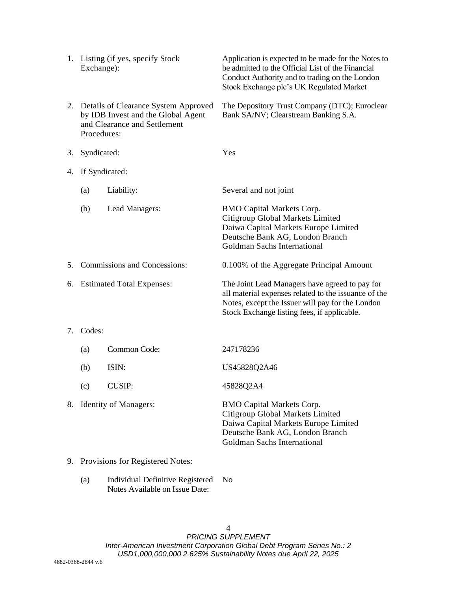|    | 1. Listing (if yes, specify Stock<br>Exchange):                                                                              |                          | Application is expected to be made for the Notes to<br>be admitted to the Official List of the Financial<br>Conduct Authority and to trading on the London<br>Stock Exchange plc's UK Regulated Market    |
|----|------------------------------------------------------------------------------------------------------------------------------|--------------------------|-----------------------------------------------------------------------------------------------------------------------------------------------------------------------------------------------------------|
|    | 2. Details of Clearance System Approved<br>by IDB Invest and the Global Agent<br>and Clearance and Settlement<br>Procedures: |                          | The Depository Trust Company (DTC); Euroclear<br>Bank SA/NV; Clearstream Banking S.A.                                                                                                                     |
| 3. | Syndicated:                                                                                                                  |                          | Yes                                                                                                                                                                                                       |
| 4. | If Syndicated:                                                                                                               |                          |                                                                                                                                                                                                           |
|    | (a)                                                                                                                          | Liability:               | Several and not joint                                                                                                                                                                                     |
|    | (b)                                                                                                                          | Lead Managers:           | <b>BMO Capital Markets Corp.</b><br>Citigroup Global Markets Limited<br>Daiwa Capital Markets Europe Limited<br>Deutsche Bank AG, London Branch<br>Goldman Sachs International                            |
| 5. | <b>Commissions and Concessions:</b>                                                                                          |                          | 0.100% of the Aggregate Principal Amount                                                                                                                                                                  |
|    | 6. Estimated Total Expenses:                                                                                                 |                          | The Joint Lead Managers have agreed to pay for<br>all material expenses related to the issuance of the<br>Notes, except the Issuer will pay for the London<br>Stock Exchange listing fees, if applicable. |
| 7. | Codes:                                                                                                                       |                          |                                                                                                                                                                                                           |
|    | (a)                                                                                                                          | Common Code:             | 247178236                                                                                                                                                                                                 |
|    | (b)                                                                                                                          | ISIN:                    | US45828Q2A46                                                                                                                                                                                              |
|    | (c)                                                                                                                          | <b>CUSIP:</b>            | 45828Q2A4                                                                                                                                                                                                 |
|    |                                                                                                                              | 8. Identity of Managers: | <b>BMO Capital Markets Corp.</b><br>Citigroup Global Markets Limited<br>Daiwa Capital Markets Europe Limited<br>Deutsche Bank AG, London Branch<br>Goldman Sachs International                            |
|    | 9. Provisions for Registered Notes:                                                                                          |                          |                                                                                                                                                                                                           |

(a) Individual Definitive Registered NoNotes Available on Issue Date: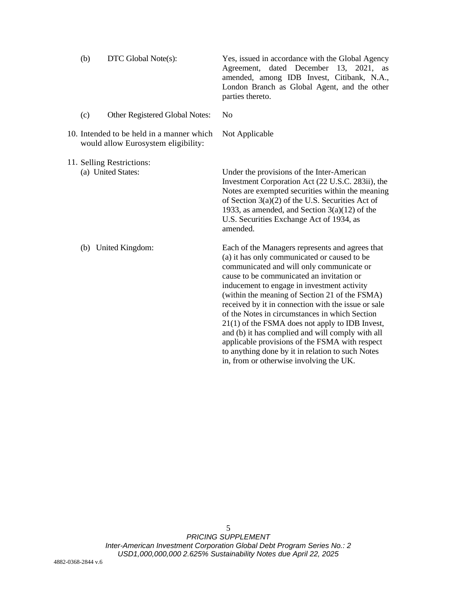|     |                                                                                  | Agreement, dated December 13, 2021,<br>as<br>amended, among IDB Invest, Citibank, N.A.,<br>London Branch as Global Agent, and the other<br>parties thereto.                                                                                                                                                                                                                                                                                                                                                  |
|-----|----------------------------------------------------------------------------------|--------------------------------------------------------------------------------------------------------------------------------------------------------------------------------------------------------------------------------------------------------------------------------------------------------------------------------------------------------------------------------------------------------------------------------------------------------------------------------------------------------------|
| (c) | Other Registered Global Notes:                                                   | N <sub>0</sub>                                                                                                                                                                                                                                                                                                                                                                                                                                                                                               |
|     | 10. Intended to be held in a manner which<br>would allow Eurosystem eligibility: | Not Applicable                                                                                                                                                                                                                                                                                                                                                                                                                                                                                               |
|     | 11. Selling Restrictions:<br>(a) United States:                                  | Under the provisions of the Inter-American<br>Investment Corporation Act (22 U.S.C. 283ii), the<br>Notes are exempted securities within the meaning<br>of Section $3(a)(2)$ of the U.S. Securities Act of<br>1933, as amended, and Section $3(a)(12)$ of the<br>U.S. Securities Exchange Act of 1934, as<br>amended.                                                                                                                                                                                         |
|     | (b) United Kingdom:                                                              | Each of the Managers represents and agrees that<br>(a) it has only communicated or caused to be<br>communicated and will only communicate or<br>cause to be communicated an invitation or<br>inducement to engage in investment activity<br>(within the meaning of Section 21 of the FSMA)<br>received by it in connection with the issue or sale<br>of the Notes in circumstances in which Section<br>$21(1)$ of the FSMA does not apply to IDB Invest,<br>and (b) it has complied and will comply with all |

applicable provisions of the FSMA with respect to anything done by it in relation to such Notes

in, from or otherwise involving the UK.

(b) DTC Global Note(s): Yes, issued in accordance with the Global Agency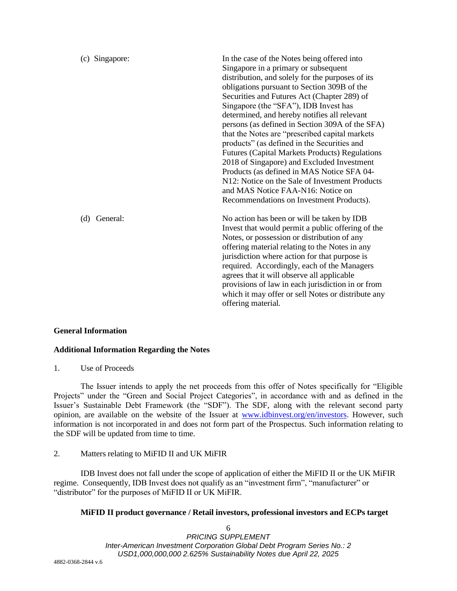| (c) Singapore:  | In the case of the Notes being offered into<br>Singapore in a primary or subsequent<br>distribution, and solely for the purposes of its<br>obligations pursuant to Section 309B of the<br>Securities and Futures Act (Chapter 289) of<br>Singapore (the "SFA"), IDB Invest has<br>determined, and hereby notifies all relevant<br>persons (as defined in Section 309A of the SFA)<br>that the Notes are "prescribed capital markets<br>products" (as defined in the Securities and<br><b>Futures (Capital Markets Products) Regulations</b><br>2018 of Singapore) and Excluded Investment<br>Products (as defined in MAS Notice SFA 04-<br>N12: Notice on the Sale of Investment Products<br>and MAS Notice FAA-N16: Notice on<br>Recommendations on Investment Products). |
|-----------------|----------------------------------------------------------------------------------------------------------------------------------------------------------------------------------------------------------------------------------------------------------------------------------------------------------------------------------------------------------------------------------------------------------------------------------------------------------------------------------------------------------------------------------------------------------------------------------------------------------------------------------------------------------------------------------------------------------------------------------------------------------------------------|
| General:<br>(d) | No action has been or will be taken by IDB<br>Invest that would permit a public offering of the<br>Notes, or possession or distribution of any<br>offering material relating to the Notes in any<br>jurisdiction where action for that purpose is<br>required. Accordingly, each of the Managers<br>agrees that it will observe all applicable<br>provisions of law in each jurisdiction in or from<br>which it may offer or sell Notes or distribute any<br>offering material.                                                                                                                                                                                                                                                                                            |

# **General Information**

# **Additional Information Regarding the Notes**

1. Use of Proceeds

The Issuer intends to apply the net proceeds from this offer of Notes specifically for "Eligible Projects" under the "Green and Social Project Categories", in accordance with and as defined in the Issuer's Sustainable Debt Framework (the "SDF"). The SDF, along with the relevant second party opinion, are available on the website of the Issuer at [www.idbinvest.org/en/investors.](http://www.idbinvest.org/en/investors) However, such information is not incorporated in and does not form part of the Prospectus. Such information relating to the SDF will be updated from time to time.

# 2. Matters relating to MiFID II and UK MiFIR

IDB Invest does not fall under the scope of application of either the MiFID II or the UK MiFIR regime. Consequently, IDB Invest does not qualify as an "investment firm", "manufacturer" or "distributor" for the purposes of MiFID II or UK MiFIR.

# **MiFID II product governance / Retail investors, professional investors and ECPs target**

6 *PRICING SUPPLEMENT Inter-American Investment Corporation Global Debt Program Series No.: 2 USD1,000,000,000 2.625% Sustainability Notes due April 22, 2025*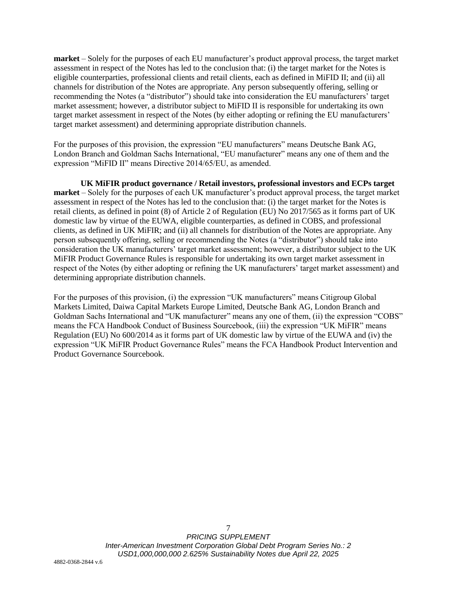**market** – Solely for the purposes of each EU manufacturer's product approval process, the target market assessment in respect of the Notes has led to the conclusion that: (i) the target market for the Notes is eligible counterparties, professional clients and retail clients, each as defined in MiFID II; and (ii) all channels for distribution of the Notes are appropriate. Any person subsequently offering, selling or recommending the Notes (a "distributor") should take into consideration the EU manufacturers' target market assessment; however, a distributor subject to MiFID II is responsible for undertaking its own target market assessment in respect of the Notes (by either adopting or refining the EU manufacturers' target market assessment) and determining appropriate distribution channels.

For the purposes of this provision, the expression "EU manufacturers" means Deutsche Bank AG, London Branch and Goldman Sachs International, "EU manufacturer" means any one of them and the expression "MiFID II" means Directive 2014/65/EU, as amended.

**UK MiFIR product governance / Retail investors, professional investors and ECPs target market** – Solely for the purposes of each UK manufacturer's product approval process, the target market assessment in respect of the Notes has led to the conclusion that: (i) the target market for the Notes is retail clients, as defined in point (8) of Article 2 of Regulation (EU) No 2017/565 as it forms part of UK domestic law by virtue of the EUWA, eligible counterparties, as defined in COBS, and professional clients, as defined in UK MiFIR; and (ii) all channels for distribution of the Notes are appropriate. Any person subsequently offering, selling or recommending the Notes (a "distributor") should take into consideration the UK manufacturers' target market assessment; however, a distributor subject to the UK MiFIR Product Governance Rules is responsible for undertaking its own target market assessment in respect of the Notes (by either adopting or refining the UK manufacturers' target market assessment) and determining appropriate distribution channels.

For the purposes of this provision, (i) the expression "UK manufacturers" means Citigroup Global Markets Limited, Daiwa Capital Markets Europe Limited, Deutsche Bank AG, London Branch and Goldman Sachs International and "UK manufacturer" means any one of them, (ii) the expression "COBS" means the FCA Handbook Conduct of Business Sourcebook, (iii) the expression "UK MiFIR" means Regulation (EU) No 600/2014 as it forms part of UK domestic law by virtue of the EUWA and (iv) the expression "UK MiFIR Product Governance Rules" means the FCA Handbook Product Intervention and Product Governance Sourcebook.